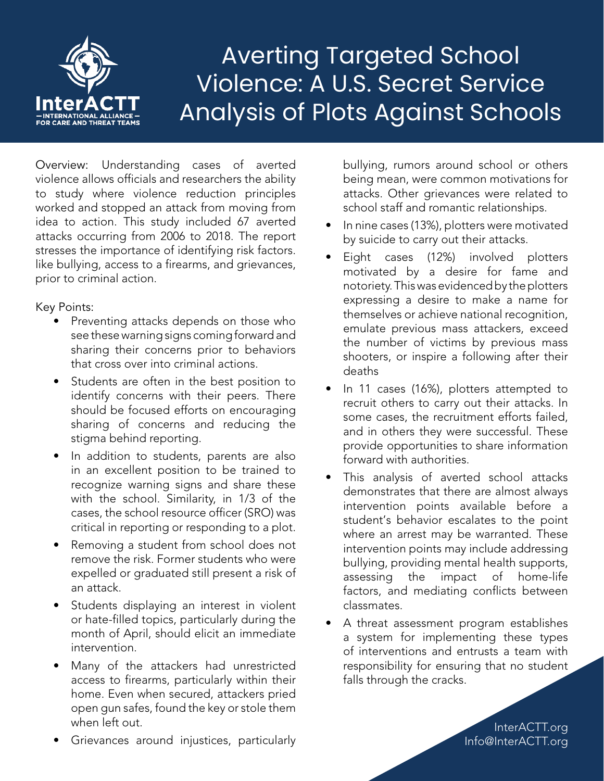

## Averting Targeted School Violence: A U.S. Secret Service Analysis of Plots Against Schools

Overview: Understanding cases of averted violence allows officials and researchers the ability to study where violence reduction principles worked and stopped an attack from moving from idea to action. This study included 67 averted attacks occurring from 2006 to 2018. The report stresses the importance of identifying risk factors. like bullying, access to a firearms, and grievances, prior to criminal action.

## Key Points:

- Preventing attacks depends on those who see these warning signs coming forward and sharing their concerns prior to behaviors that cross over into criminal actions.
- Students are often in the best position to identify concerns with their peers. There should be focused efforts on encouraging sharing of concerns and reducing the stigma behind reporting.
- In addition to students, parents are also in an excellent position to be trained to recognize warning signs and share these with the school. Similarity, in 1/3 of the cases, the school resource officer (SRO) was critical in reporting or responding to a plot.
- Removing a student from school does not remove the risk. Former students who were expelled or graduated still present a risk of an attack.
- Students displaying an interest in violent or hate-filled topics, particularly during the month of April, should elicit an immediate intervention.
- Many of the attackers had unrestricted access to firearms, particularly within their home. Even when secured, attackers pried open gun safes, found the key or stole them when left out.
- Grievances around injustices, particularly

bullying, rumors around school or others being mean, were common motivations for attacks. Other grievances were related to school staff and romantic relationships.

- In nine cases (13%), plotters were motivated by suicide to carry out their attacks.
- Eight cases (12%) involved plotters motivated by a desire for fame and notoriety. This was evidenced by the plotters expressing a desire to make a name for themselves or achieve national recognition, emulate previous mass attackers, exceed the number of victims by previous mass shooters, or inspire a following after their deaths
- In 11 cases (16%), plotters attempted to recruit others to carry out their attacks. In some cases, the recruitment efforts failed, and in others they were successful. These provide opportunities to share information forward with authorities.
- This analysis of averted school attacks demonstrates that there are almost always intervention points available before a student's behavior escalates to the point where an arrest may be warranted. These intervention points may include addressing bullying, providing mental health supports, assessing the impact of home-life factors, and mediating conflicts between classmates.
- A threat assessment program establishes a system for implementing these types of interventions and entrusts a team with responsibility for ensuring that no student falls through the cracks.

InterACTT.org Info@InterACTT.org